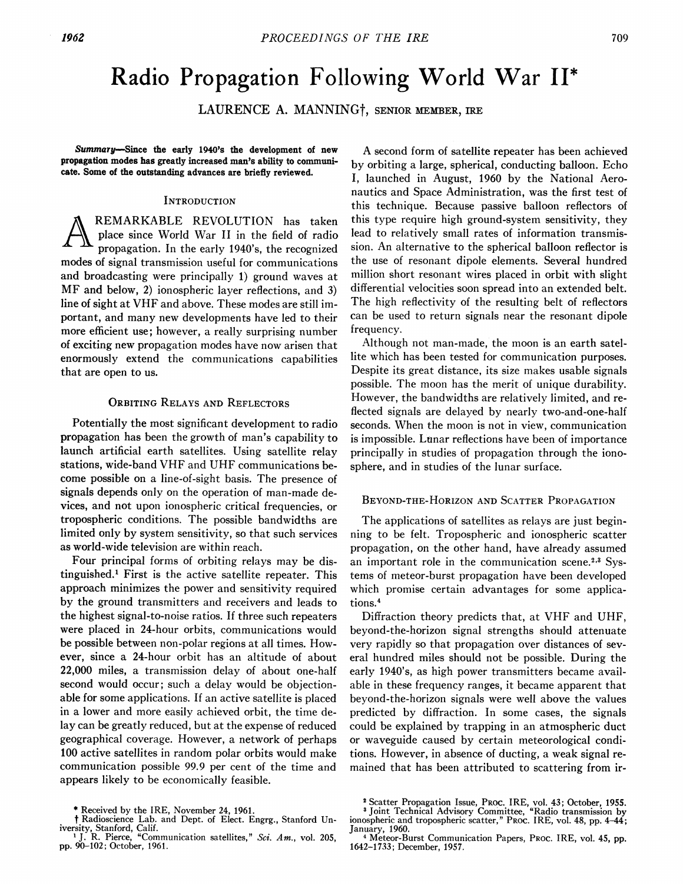# Radio Propagation Following World War 11\*

LAURENCE A. MANNING<sup>†</sup>, SENIOR MEMBER, IRE

Summary-Since the early 1940's the development of new propagation modes has greatly increased man's ability to communicate. Some of the outstanding advances are briefly reviewed.

## **INTRODUCTION**

REMARKABLE REVOLUTION has taken place since World War II in the field of radio propagation. In the early 1940's, the recognized modes of signal transmission useful for communications and broadcasting were principally 1) ground waves at MF and below, 2) ionospheric layer reflections, and 3) line of sight at VHF and above. These modes are still important, and many new developments have led to their more efficient use; however, a really surprising number of exciting new propagation modes have now arisen that enormously extend the communications capabilities that are open to us.

## ORBITING RELAYS AND REFLECTORS

Potentially the most significant development to radio propagation has been the growth of man's capability to launch artificial earth satellites. Using satellite relay stations, wide-band VHF and UHF communications become possible on a line-of-sight basis. The presence of signals depends only on the operation of man-made devices, and not upon ionospheric critical frequencies, or tropospheric conditions. The possible bandwidths are limited only by system sensitivity, so that such services as world-wide television are within reach.

Four principal forms of orbiting relays may be distinguished.' First is the active satellite repeater. This approach minimizes the power and sensitivity required by the ground transmitters and receivers and leads to the highest signal-to-noise ratios. If three such repeaters were placed in 24-hour orbits, communications would be possible between non-polar regions at all times. However, since a 24-hour orbit has an altitude of about 22,000 miles, a transmission delay of about one-half second would occur; such a delay would be objectionable for some applications. If an active satellite is placed in a lower and more easily achieved orbit, the time delay can be greatly reduced, but at the expense of reduced geographical coverage. However, a network of perhaps 100 active satellites in random polar orbits would make communication possible 99.9 per cent of the time and appears likely to be economically feasible.

A second form of satellite repeater has been achieved by orbiting a large, spherical, conducting balloon. Echo I, launched in August, 1960 by the National Aeronautics and Space Administration, was the first test of this technique. Because passive balloon reflectors of this type require high ground-system sensitivity, they lead to relatively small rates of information transmission. An alternative to the spherical balloon reflector is the use of resonant dipole elements. Several hundred million short resonant wires placed in orbit with slight differential velocities soon spread into an extended belt. The high reflectivity of the resulting belt of reflectors can be used to return signals near the resonant dipole frequency.

Although not man-made, the moon is an earth satellite which has been tested for communication purposes. Despite its great distance, its size makes usable signals possible. The moon has the merit of unique durability. However, the bandwidths are relatively limited, and reflected signals are delayed by nearly two-and-one-half seconds. When the moon is not in view, communication is impossible. Lunar reflections have been of importance principally in studies of propagation through the ionosphere, and in studies of the lunar surface.

# BEYOND-THE-HORIZON AND SCATTER PROPAGATION

The applications of satellites as relays are just beginning to be felt. Tropospheric and ionospheric scatter propagation, on the other hand, have already assumed an important role in the communication scene.<sup>2,3</sup> Systems of meteor-burst propagation have been developed which promise certain advantages for some applications.4

Diffraction theory predicts that, at VHF and UHF, beyond-the-horizon signal strengths should attenuate very rapidly so that propagation over distances of several hundred miles should not be possible. During the early <sup>1940</sup>'s, as high power transmitters became available in these frequency ranges, it became apparent that beyond-the-horizon signals were well above the values predicted by diffraction. In some cases, the signals could be explained by trapping in an atmospheric duct or waveguide caused by certain meteorological conditions. However, in absence of ducting, a weak signal remained that has been attributed to scattering from ir-

<sup>\*</sup> Received by the IRE, November 24, 1961.

t Radioscience Lab. and Dept. of Elect. Engrg., Stanford Un-

iversity, Stanford, Calif.<br><sup>1</sup> J. R. Pierce, "Communication satellites," *Sci. Am.*, vol. 205, pp. 90-102; October, 1961.

<sup>2</sup> Scatter Propagation Issue, PROC. IRE, Vol. 43; October, 1955.

<sup>3</sup> Joint Technical Advisory Committee, "Radio transmission by ionospheric and tropospheric scatter," PRoc. IRE, vol. 48, pp. 4-44; January, 1960.

<sup>4</sup> Meteor-Burst Communication Papers, PROC. IRE, vol. 45, pp. 1642-1733; December, 1957.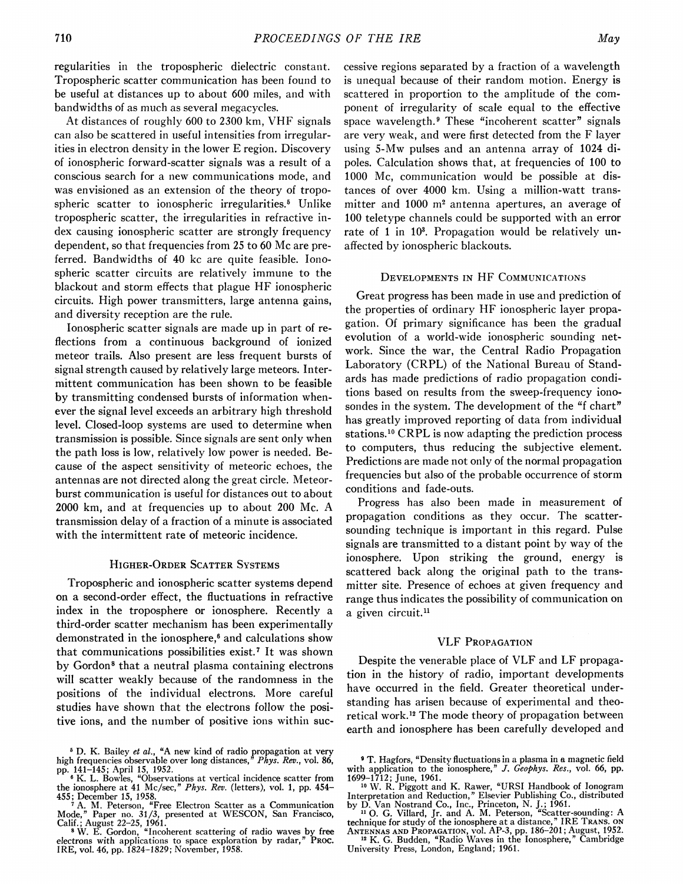regularities in the tropospheric dielectric constant. Tropospheric scatter communication has been found to be useful at distances up to about 600 miles, and with bandwidths of as much as several megacycles.

At distances of roughly <sup>600</sup> to <sup>2300</sup> km, VHF signals can also be scattered in useful intensities from irregularities in electron density in the lower E region. Discovery of ionospheric forward-scatter signals was a result of a conscious search for a new communications mode, and was envisioned as an extension of the theory of tropospheric scatter to ionospheric irregularities.<sup>5</sup> Unlike tropospheric scatter, the irregularities in refractive index causing ionospheric scatter are strongly frequency dependent, so that frequencies from <sup>25</sup> to 60 Mc are preferred. Bandwidths of 40 kc are quite feasible. Ionospheric scatter circuits are relatively immune to the blackout and storm effects that plague HF ionospheric circuits. High power transmitters, large antenna gains, and diversity reception are the rule.

Ionospheric scatter signals are made up in part of reflections from a continuous background of ionized meteor trails. Also present are less frequent bursts of signal strength caused by relatively large meteors. Intermittent communication has been shown to be feasible by transmitting condensed bursts of information whenever the signal level exceeds an arbitrary high threshold level. Closed-loop systems are used to determine when transmission is possible. Since signals are sent only when the path loss is low, relatively low power is needed. Because of the aspect sensitivity of meteoric echoes, the antennas are not directed along the great circle. Meteorburst communication is useful for distances out to about 2000 km, and at frequencies up to about 200 Mc. A transmission delay of a fraction of a minute is associated with the intermittent rate of meteoric incidence.

# HIGHER-ORDER SCATTER SYSTEMS

Tropospheric and ionospheric scatter systems depend on a second-order effect, the fluctuations in refractive index in the troposphere or ionosphere. Recently a third-order scatter mechanism has been experimentally demonstrated in the ionosphere,<sup>6</sup> and calculations show that communications possibilities exist.7 It was shown by Gordon8 that a neutral plasma containing electrons will scatter weakly because of the randomness in the positions of the individual electrons. More careful studies have shown that the electrons follow the positive ions, and the number of positive ions within successive regions separated by a fraction of a wavelength is unequal because of their random motion. Energy is scattered in proportion to the amplitude of the component of irregularity of scale equal to the effective space wavelength.9 These "incoherent scatter" signals are very weak, and were first detected from the F layer using 5-Mw pulses and an antenna array of 1024 dipoles. Calculation shows that, at frequencies of 100 to 1000 Mc, communication would be possible at distances of over 4000 km. Using a million-watt transmitter and 1000 m<sup>2</sup> antenna apertures, an average of 100 teletype channels could be supported with an error rate of 1 in 10<sup>3</sup>. Propagation would be relatively unaffected by ionospheric blackouts.

#### DEVELOPMENTS IN HF COMMUNICATIONS

Great progress has been made in use and prediction of the properties of ordinary HF ionospheric layer propagation. Of primary significance has been the gradual evolution of a world-wide ionospheric sounding network. Since the war, the Central Radio Propagation Laboratory (CRPL) of the National Bureau of Standards has made predictions of radio propagation conditions based on results from the sweep-frequency ionosondes in the system. The development of the "f chart" has greatly improved reporting of data from individual stations.10 CRPL is now adapting the prediction process to computers, thus reducing the subjective element. Predictions are made not only of the normal propagation frequencies but also of the probable occurrence of storm conditions and fade-outs.

Progress has also been made in measurement of propagation conditions as they occur. The scattersounding technique is important in this regard. Pulse signals are transmitted to a distant point by way of the ionosphere. Upon striking the ground, energy is scattered back along the original path to the transmitter site. Presence of echoes at given frequency and range thus indicates the possibility of communication on a given circuit.<sup>11</sup>

#### VLF PROPAGATION

Despite the venerable place of VLF and LF propagation in the history of radio, important developments have occurred in the field. Greater theoretical understanding has arisen because of experimental and theoretical work.<sup>12</sup> The mode theory of propagation between earth and ionosphere has been carefully developed and

<sup>&</sup>lt;sup>5</sup> D. K. Bailey *et al.*, "A new kind of radio propagation at very high frequencies observable over long distances," Phys. Rev., vol. 86, pp. 141-145; April 15, 1952.

<sup>6</sup> K. L. Bowles, "Observations at vertical incidence scatter from the ionosphere at 41 Mc/sec," Phys. Rev. (letters), vol. 1, pp. 454-

<sup>455;</sup> December 15, 1958.<br>
<sup>7</sup> A. M. Peterson, "Free Electron Scatter as a Communication<br>
Mode," Paper no. 31/3, presented at WESCON, San Francisco,<br>
Calif.; August 22–25, 1961.<br>
<sup>8</sup> W. E. Gordon, "Incoherent scattering of r

electrons with applications to space exploration by radar," PROC. IRE, vol. 46, pp. 1824-1829; November, 1958.

<sup>9</sup> T. Hagfors, "Density fluctuations in a plasma in a magnetic field with application to the ionosphere," J. Geophys. Res., vol. 66, pp.<br>1699–1712; June, 1961.

<sup>1699–1712;</sup> June, 1961.<br>
<sup>10</sup> W. R. Piggott and K. Rawer, "URSI Handbook of Ionogram<br>
Interpretation and Reduction," Elsevier Publishing Co., distributed<br>
by D. Van Nostrand Co., Inc., Princeton, N. J.; 1961.<br>
<sup>11</sup> O. G. Vi

technique for study of the ionosphere at a distance," IRE TRANS. ON ANTENNAS AND PROPAGATION, vol. AP-3, pp. 186-201; August, 1952. <sup>12</sup> K. G. Budden, 'Radio Waves in the Ionosphere," Cambridge University Press, London, England; 1961.